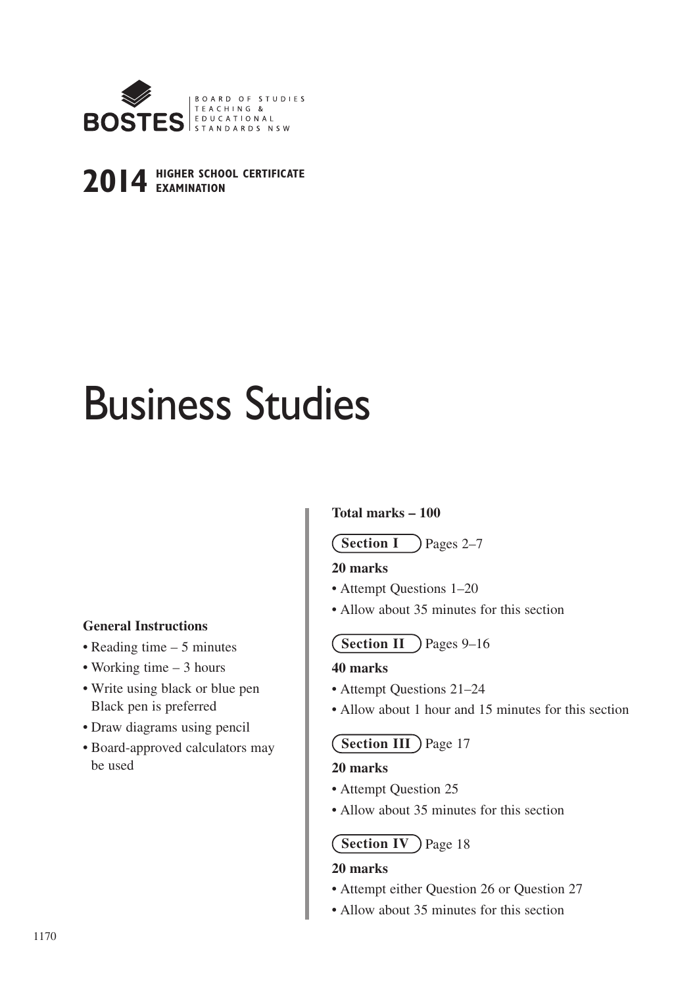



# Business Studies

#### **General Instructions**

- Reading time  $-5$  minutes
- Working time 3 hours
- Write using black or blue pen Black pen is preferred
- Draw diagrams using pencil
- Board-approved calculators may be used

#### **Total marks – 100**

```
(Section I ) Pages 2–7
```
#### **20 marks**

- Attempt Questions 1–20
- Allow about 35 minutes for this section

**Section II** Pages 9–16

#### **40 marks**

- Attempt Questions 21–24
- Allow about 1 hour and 15 minutes for this section

#### **Section III** Page 17

#### **20 marks**

- Attempt Question 25
- Allow about 35 minutes for this section

# **(Section IV)** Page 18

#### **20 marks**

- Attempt either Question 26 or Question 27
- Allow about 35 minutes for this section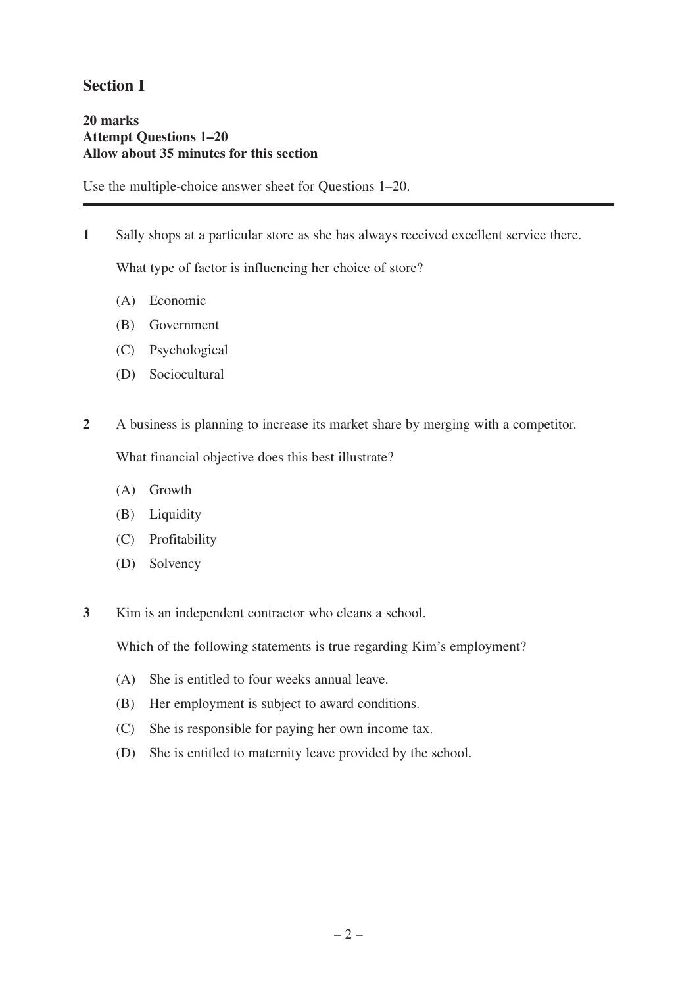# **Section I**

#### **20 marks Attempt Questions 1–20 Allow about 35 minutes for this section**

Use the multiple-choice answer sheet for Questions 1–20.

**1** Sally shops at a particular store as she has always received excellent service there.

What type of factor is influencing her choice of store?

- (A) Economic
- (B) Government
- (C) Psychological
- (D) Sociocultural
- **2** A business is planning to increase its market share by merging with a competitor.

What financial objective does this best illustrate?

- (A) Growth
- (B) Liquidity
- (C) Profitability
- (D) Solvency
- **3** Kim is an independent contractor who cleans a school.

Which of the following statements is true regarding Kim's employment?

- (A) She is entitled to four weeks annual leave.
- (B) Her employment is subject to award conditions.
- (C) She is responsible for paying her own income tax.
- (D) She is entitled to maternity leave provided by the school.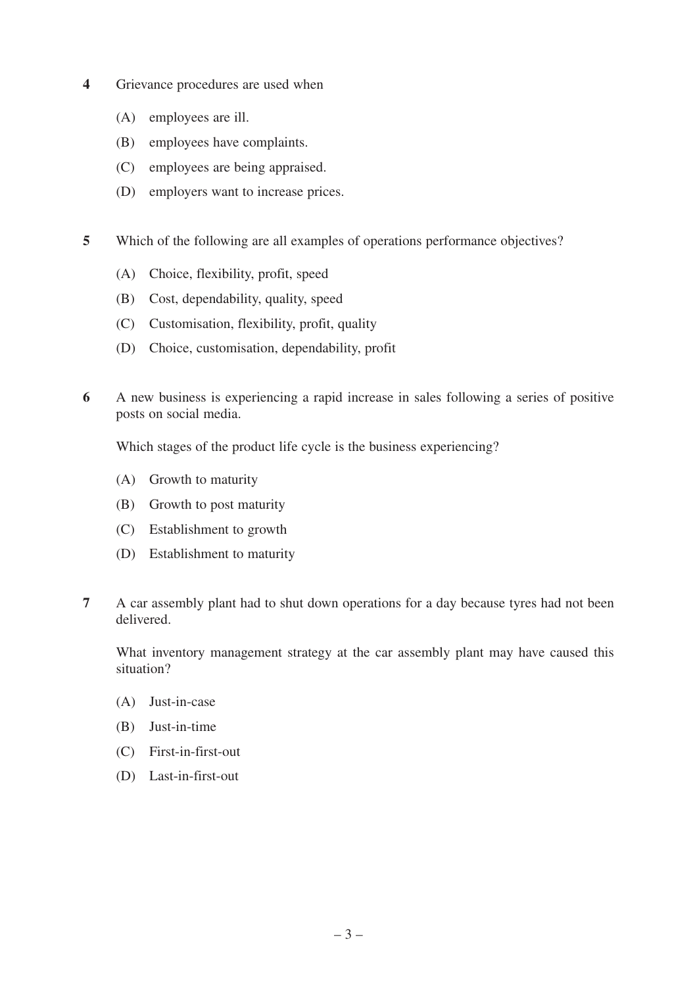- **4** Grievance procedures are used when
	- (A) employees are ill.
	- (B) employees have complaints.
	- (C) employees are being appraised.
	- (D) employers want to increase prices.
- **5** Which of the following are all examples of operations performance objectives?
	- (A) Choice, flexibility, profit, speed
	- (B) Cost, dependability, quality, speed
	- (C) Customisation, flexibility, profit, quality
	- (D) Choice, customisation, dependability, profit
- **6** A new business is experiencing a rapid increase in sales following a series of positive posts on social media.

Which stages of the product life cycle is the business experiencing?

- (A) Growth to maturity
- (B) Growth to post maturity
- (C) Establishment to growth
- (D) Establishment to maturity
- **7** A car assembly plant had to shut down operations for a day because tyres had not been delivered.

What inventory management strategy at the car assembly plant may have caused this situation?

- (A) Just-in-case
- (B) Just-in-time
- (C) First-in-first-out
- (D) Last-in-first-out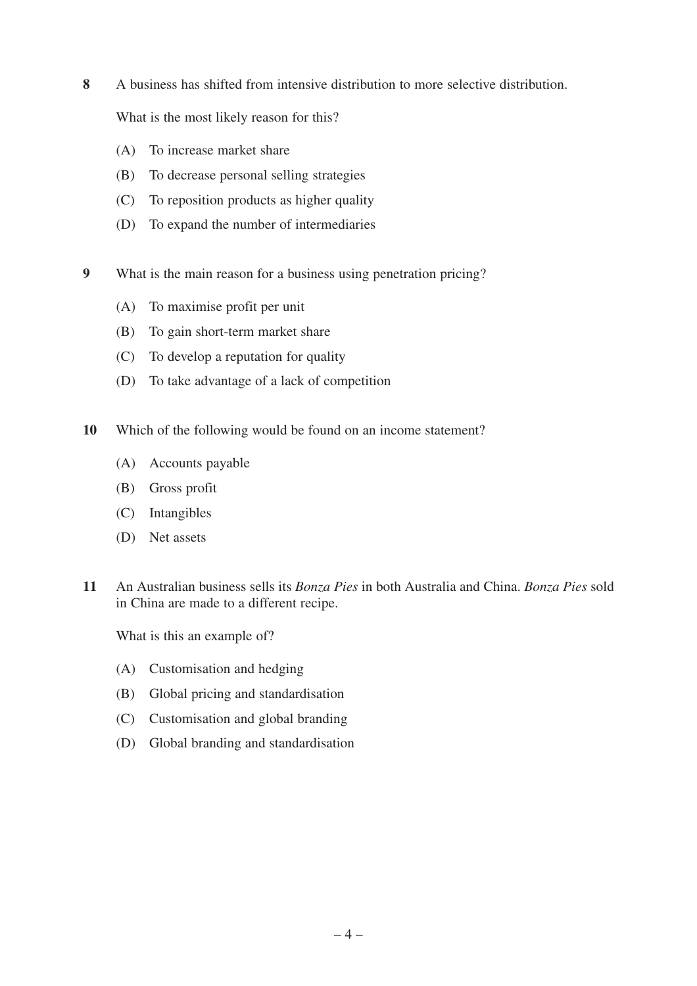**8** A business has shifted from intensive distribution to more selective distribution.

What is the most likely reason for this?

- (A) To increase market share
- (B) To decrease personal selling strategies
- (C) To reposition products as higher quality
- (D) To expand the number of intermediaries
- **9** What is the main reason for a business using penetration pricing?
	- (A) To maximise profit per unit
	- (B) To gain short-term market share
	- (C) To develop a reputation for quality
	- (D) To take advantage of a lack of competition
- **10** Which of the following would be found on an income statement?
	- (A) Accounts payable
	- (B) Gross profit
	- (C) Intangibles
	- (D) Net assets
- **11** An Australian business sells its *Bonza Pies* in both Australia and China. *Bonza Pies* sold in China are made to a different recipe.

What is this an example of?

- (A) Customisation and hedging
- (B) Global pricing and standardisation
- (C) Customisation and global branding
- (D) Global branding and standardisation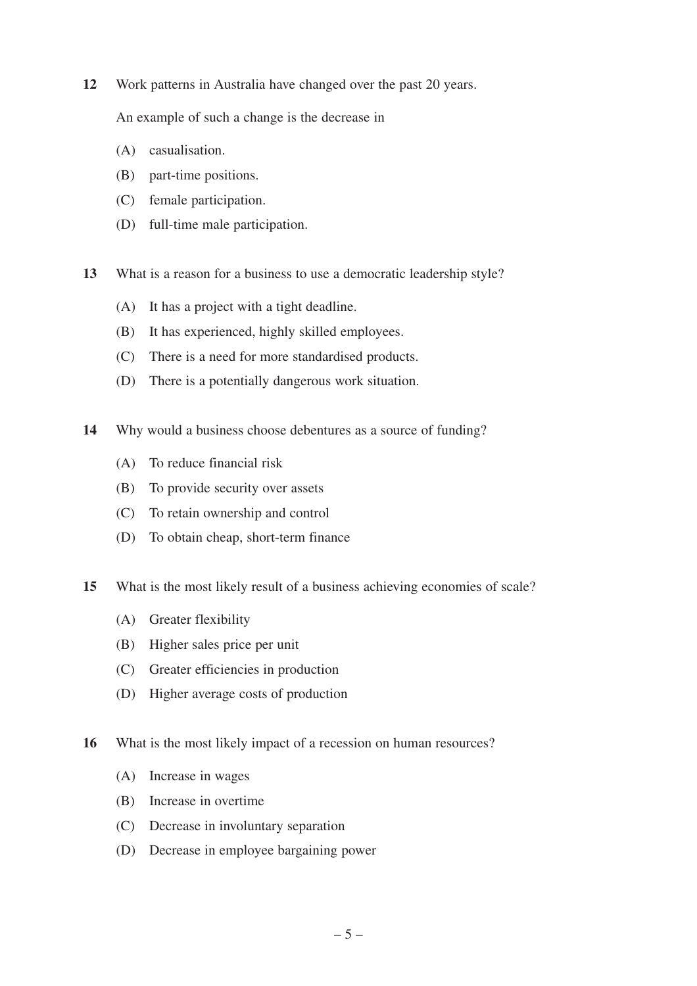**12** Work patterns in Australia have changed over the past 20 years.

An example of such a change is the decrease in

- (A) casualisation.
- (B) part-time positions.
- (C) female participation.
- (D) full-time male participation.
- **13** What is a reason for a business to use a democratic leadership style?
	- (A) It has a project with a tight deadline.
	- (B) It has experienced, highly skilled employees.
	- (C) There is a need for more standardised products.
	- (D) There is a potentially dangerous work situation.
- **14** Why would a business choose debentures as a source of funding?
	- (A) To reduce financial risk
	- (B) To provide security over assets
	- (C) To retain ownership and control
	- (D) To obtain cheap, short-term finance
- **15** What is the most likely result of a business achieving economies of scale?
	- (A) Greater flexibility
	- (B) Higher sales price per unit
	- (C) Greater efficiencies in production
	- (D) Higher average costs of production
- **16** What is the most likely impact of a recession on human resources?
	- (A) Increase in wages
	- (B) Increase in overtime
	- (C) Decrease in involuntary separation
	- (D) Decrease in employee bargaining power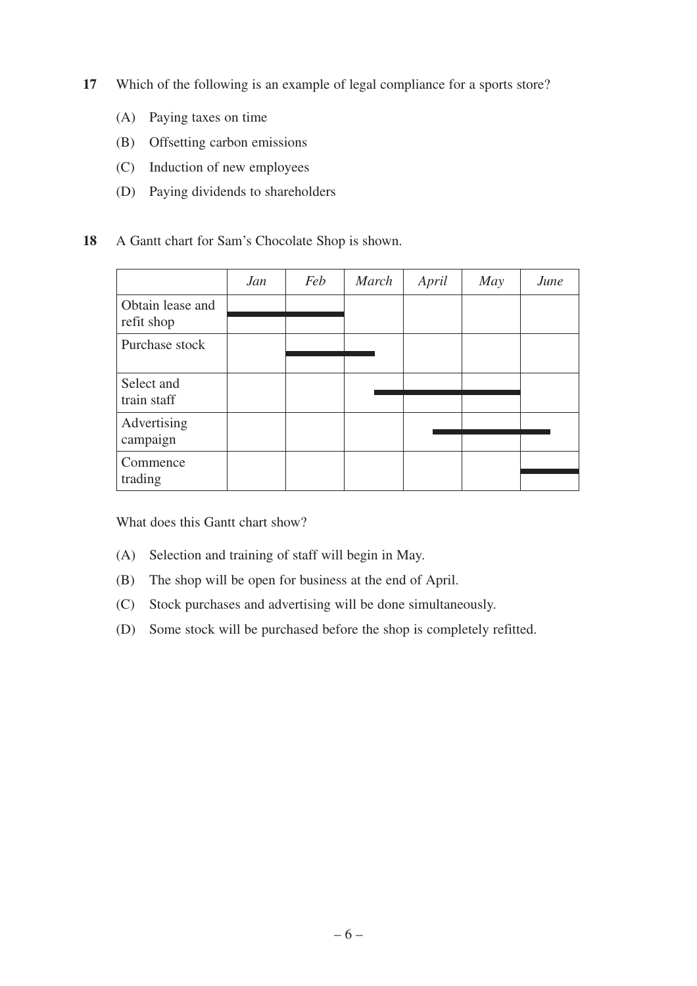- **17** Which of the following is an example of legal compliance for a sports store?
	- (A) Paying taxes on time
	- (B) Offsetting carbon emissions
	- (C) Induction of new employees
	- (D) Paying dividends to shareholders
- **18** A Gantt chart for Sam's Chocolate Shop is shown.

|                                | Jan | Feb | <b>March</b> | April | May | June |
|--------------------------------|-----|-----|--------------|-------|-----|------|
| Obtain lease and<br>refit shop |     |     |              |       |     |      |
| Purchase stock                 |     |     |              |       |     |      |
| Select and<br>train staff      |     |     |              |       |     |      |
| Advertising<br>campaign        |     |     |              |       |     |      |
| Commence<br>trading            |     |     |              |       |     |      |

What does this Gantt chart show?

- (A) Selection and training of staff will begin in May.
- (B) The shop will be open for business at the end of April.
- (C) Stock purchases and advertising will be done simultaneously.
- (D) Some stock will be purchased before the shop is completely refitted.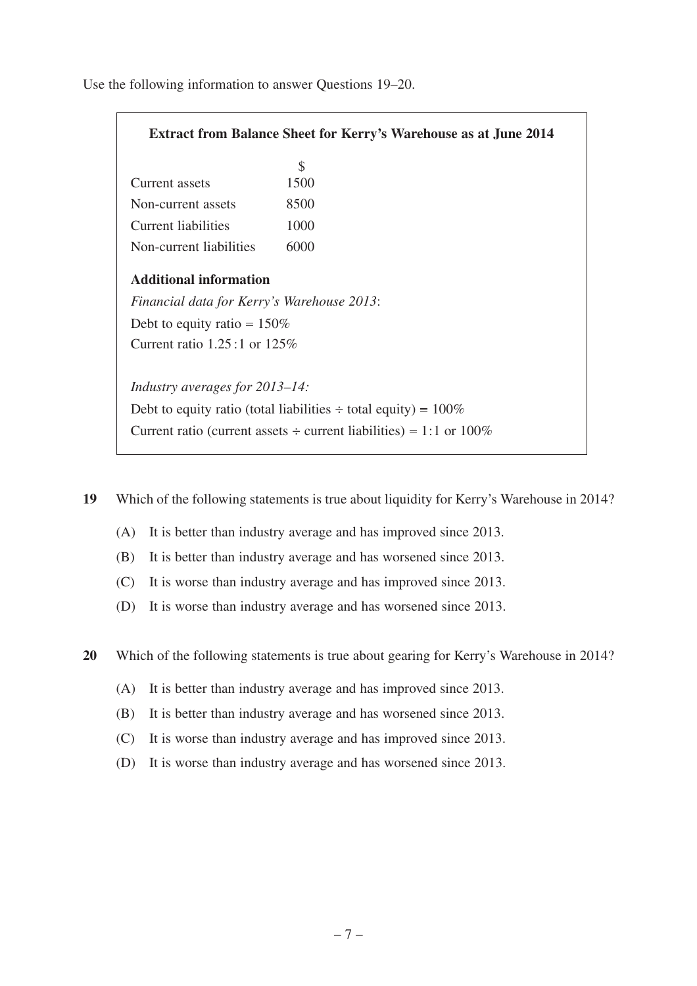Use the following information to answer Questions 19–20.

| <b>Extract from Balance Sheet for Kerry's Warehouse as at June 2014</b>                                                                                                      |                                                                         |  |  |  |
|------------------------------------------------------------------------------------------------------------------------------------------------------------------------------|-------------------------------------------------------------------------|--|--|--|
|                                                                                                                                                                              | \$                                                                      |  |  |  |
| Current assets                                                                                                                                                               | 1500                                                                    |  |  |  |
| Non-current assets                                                                                                                                                           | 8500                                                                    |  |  |  |
| Current liabilities                                                                                                                                                          | 1000                                                                    |  |  |  |
| Non-current liabilities                                                                                                                                                      | 6000                                                                    |  |  |  |
| <b>Additional information</b>                                                                                                                                                |                                                                         |  |  |  |
| Financial data for Kerry's Warehouse 2013:                                                                                                                                   |                                                                         |  |  |  |
|                                                                                                                                                                              |                                                                         |  |  |  |
| Debt to equity ratio = $150\%$<br>Current ratio $1.25:1$ or $125\%$<br>Industry averages for 2013-14:<br>Debt to equity ratio (total liabilities $\div$ total equity) = 100% |                                                                         |  |  |  |
|                                                                                                                                                                              |                                                                         |  |  |  |
|                                                                                                                                                                              |                                                                         |  |  |  |
|                                                                                                                                                                              |                                                                         |  |  |  |
|                                                                                                                                                                              | Current ratio (current assets $\div$ current liabilities) = 1:1 or 100% |  |  |  |

**19** Which of the following statements is true about liquidity for Kerry's Warehouse in 2014?

- (A) It is better than industry average and has improved since 2013.
- (B) It is better than industry average and has worsened since 2013.
- (C) It is worse than industry average and has improved since 2013.
- (D) It is worse than industry average and has worsened since 2013.

**20** Which of the following statements is true about gearing for Kerry's Warehouse in 2014?

- (A) It is better than industry average and has improved since 2013.
- (B) It is better than industry average and has worsened since 2013.
- (C) It is worse than industry average and has improved since 2013.
- (D) It is worse than industry average and has worsened since 2013.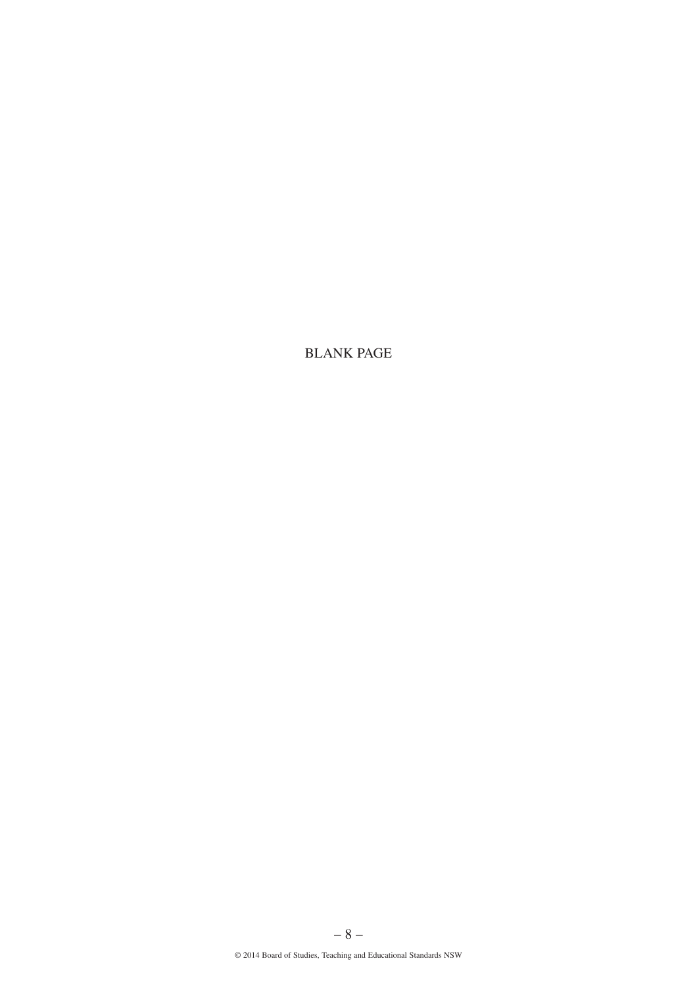BLANK PAGE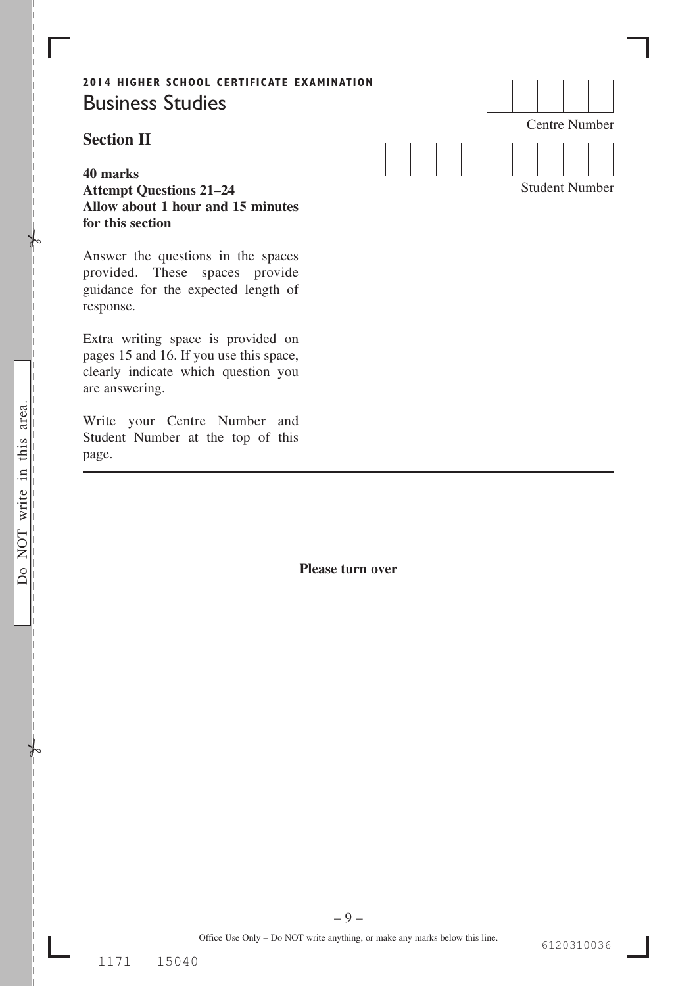# **2014 HIGHER SCHOOL CERTIFICATE EXAMINATION**  Business Studies



## **Section II**

Centre Number



**40 marks Attempt Questions 21–24 Allow about 1 hour and 15 minutes for this section** 

Answer the questions in the spaces provided. These spaces provide guidance for the expected length of response.

Extra writing space is provided on pages 15 and 16. If you use this space, clearly indicate which question you are answering.

Write your Centre Number and Student Number at the top of this page.

**Please turn over** 

 $\frac{1}{6}$ 

 $\frac{1}{6}$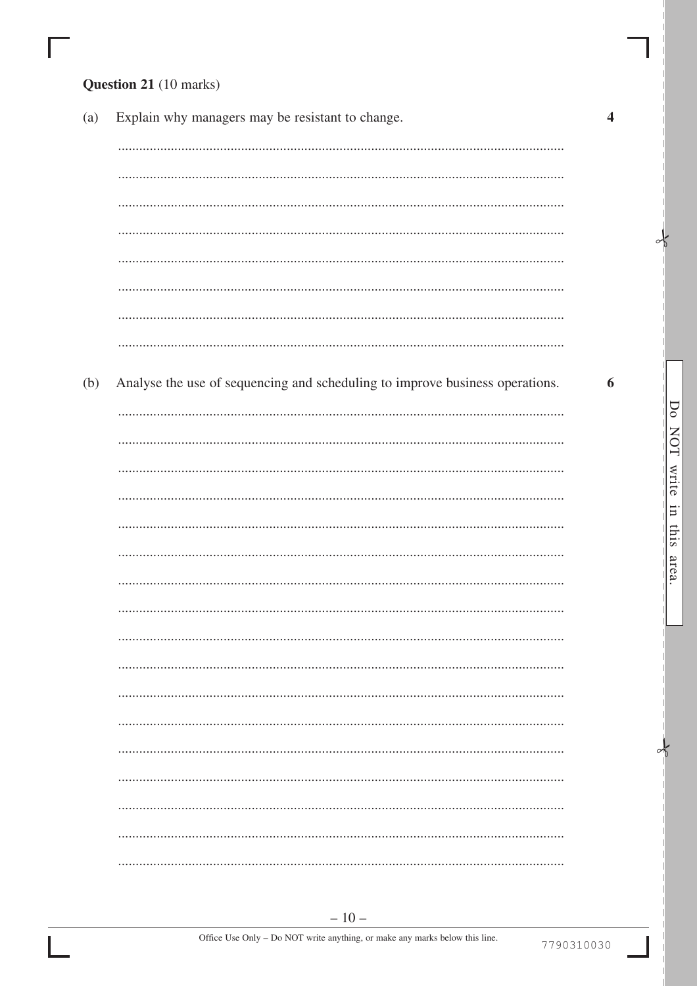Question 21 (10 marks)

| (a) | Explain why managers may be resistant to change.                             |
|-----|------------------------------------------------------------------------------|
|     |                                                                              |
|     |                                                                              |
|     |                                                                              |
|     |                                                                              |
|     |                                                                              |
|     |                                                                              |
|     |                                                                              |
|     |                                                                              |
| (b) | Analyse the use of sequencing and scheduling to improve business operations. |
|     |                                                                              |
|     |                                                                              |
|     |                                                                              |
|     |                                                                              |
|     |                                                                              |
|     |                                                                              |
|     |                                                                              |
|     |                                                                              |
|     |                                                                              |
|     |                                                                              |
|     |                                                                              |
|     |                                                                              |
|     |                                                                              |
|     |                                                                              |
|     |                                                                              |
|     |                                                                              |
|     |                                                                              |

 $\boldsymbol{6}$ 

 $\sim$ 

 $\overline{\mathbf{4}}$ 

 $\alpha$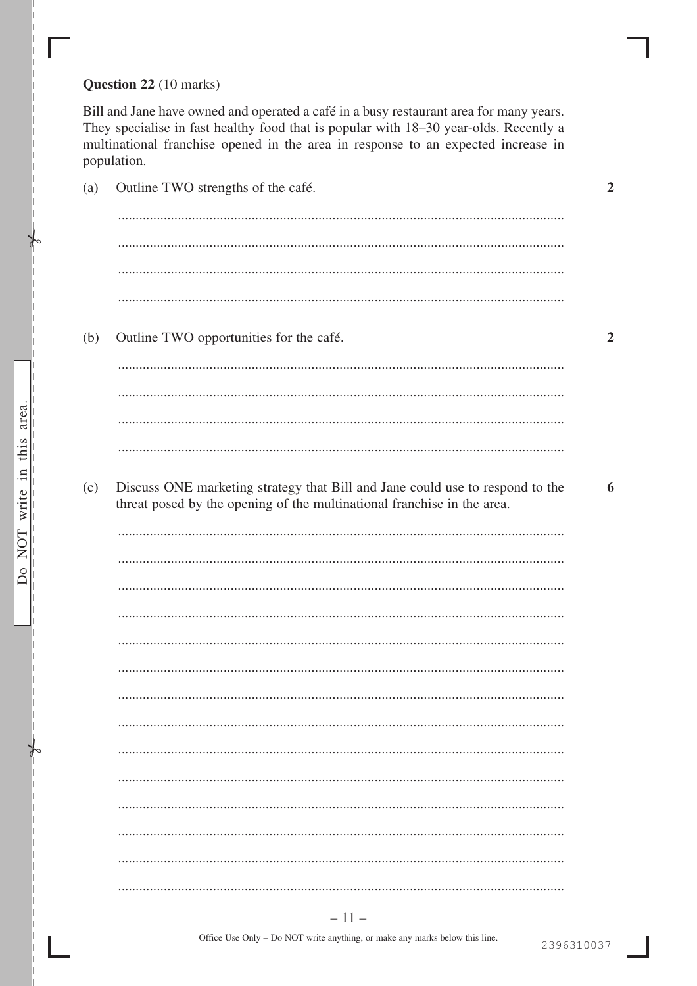## Question 22 (10 marks)

ı

Bill and Jane have owned and operated a café in a busy restaurant area for many years. They specialise in fast healthy food that is popular with 18-30 year-olds. Recently a multinational franchise opened in the area in response to an expected increase in population.

|     | Outline TWO strengths of the café.                                                                                                                       |
|-----|----------------------------------------------------------------------------------------------------------------------------------------------------------|
|     |                                                                                                                                                          |
|     |                                                                                                                                                          |
|     |                                                                                                                                                          |
|     |                                                                                                                                                          |
| (b) | Outline TWO opportunities for the café.                                                                                                                  |
|     |                                                                                                                                                          |
|     |                                                                                                                                                          |
|     |                                                                                                                                                          |
|     |                                                                                                                                                          |
| (c) | Discuss ONE marketing strategy that Bill and Jane could use to respond to the<br>threat posed by the opening of the multinational franchise in the area. |
|     |                                                                                                                                                          |
|     |                                                                                                                                                          |
|     |                                                                                                                                                          |
|     |                                                                                                                                                          |
|     |                                                                                                                                                          |
|     |                                                                                                                                                          |
|     |                                                                                                                                                          |
|     |                                                                                                                                                          |
|     |                                                                                                                                                          |
|     |                                                                                                                                                          |
|     |                                                                                                                                                          |
|     |                                                                                                                                                          |
|     |                                                                                                                                                          |

 $\sim$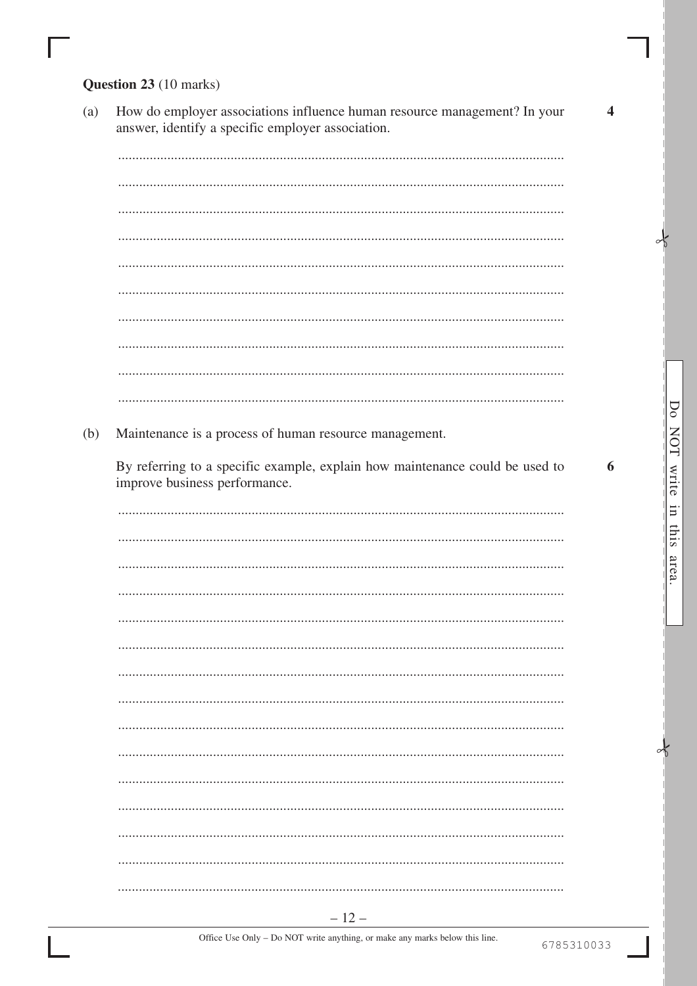#### Question 23 (10 marks)

How do employer associations influence human resource management? In your  $(a)$ answer, identify a specific employer association.

Maintenance is a process of human resource management. (b)

By referring to a specific example, explain how maintenance could be used to improve business performance.

 $\boldsymbol{\varDelta}$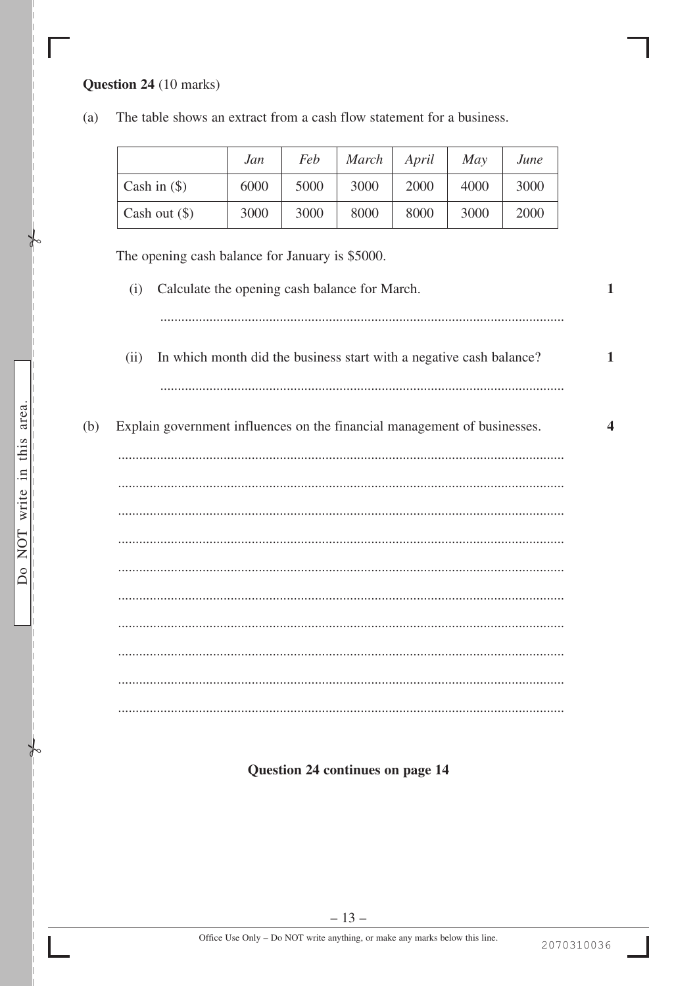#### Question 24 (10 marks)

|                 | Jan  | Feb  | <b>March</b> | April | May  | June |
|-----------------|------|------|--------------|-------|------|------|
| Cash in $(\$)$  | 6000 | 5000 | 3000         | 2000  | 4000 | 3000 |
| Cash out $(\$)$ | 3000 | 3000 | 8000         | 8000  | 3000 | 2000 |

The table shows an extract from a cash flow statement for a business.  $(a)$ 

The opening cash balance for January is \$5000.

 $\mathbf{1}$ Calculate the opening cash balance for March.  $(i)$ In which month did the business start with a negative cash balance?  $\mathbf{1}$  $(ii)$ Explain government influences on the financial management of businesses.  $\overline{\mathbf{4}}$ 

Question 24 continues on page 14

 $(b)$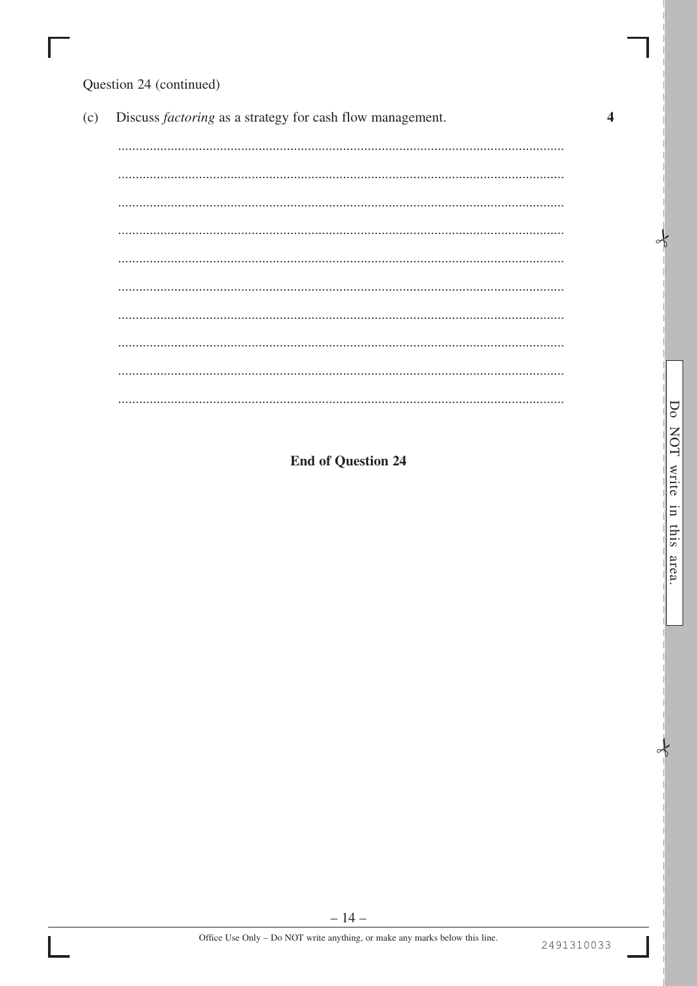Question 24 (continued)

| (c) Discuss <i>factoring</i> as a strategy for cash flow management. |
|----------------------------------------------------------------------|
|                                                                      |
|                                                                      |
|                                                                      |
|                                                                      |
|                                                                      |
|                                                                      |
|                                                                      |
|                                                                      |
|                                                                      |
|                                                                      |

**End of Question 24** 

 $\alpha$ 

 $\alpha$ 

 $\overline{\mathbf{4}}$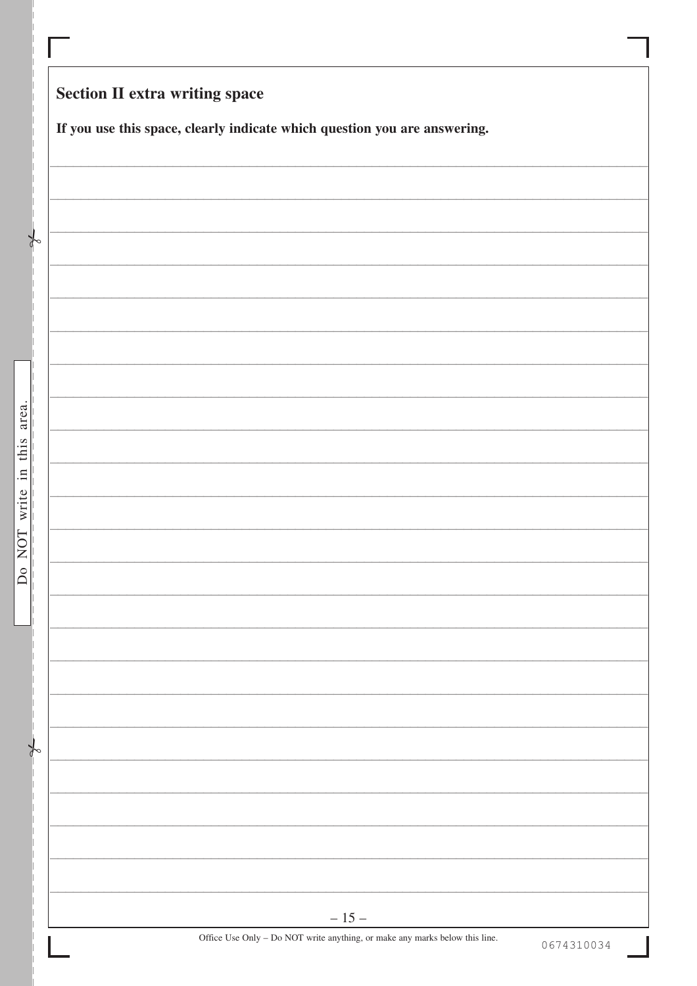| <b>Section II extra writing space</b> |                                                                           |  |
|---------------------------------------|---------------------------------------------------------------------------|--|
|                                       | If you use this space, clearly indicate which question you are answering. |  |
|                                       |                                                                           |  |
|                                       |                                                                           |  |
|                                       |                                                                           |  |
|                                       |                                                                           |  |
|                                       |                                                                           |  |
|                                       |                                                                           |  |
|                                       |                                                                           |  |
|                                       |                                                                           |  |
|                                       |                                                                           |  |
|                                       |                                                                           |  |
|                                       |                                                                           |  |
|                                       |                                                                           |  |
|                                       |                                                                           |  |
|                                       |                                                                           |  |
|                                       |                                                                           |  |
|                                       |                                                                           |  |
|                                       |                                                                           |  |
|                                       |                                                                           |  |
|                                       |                                                                           |  |
|                                       |                                                                           |  |
|                                       |                                                                           |  |
|                                       |                                                                           |  |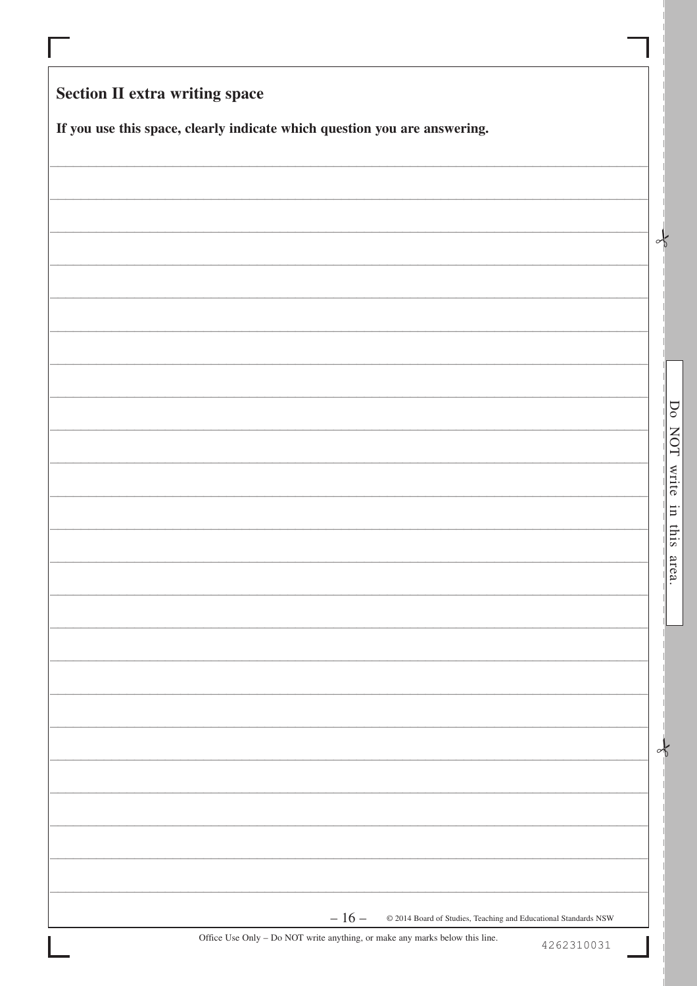| <b>Section II extra writing space</b> | If you use this space, clearly indicate which question you are answering.                                                                                |            |                                                  |
|---------------------------------------|----------------------------------------------------------------------------------------------------------------------------------------------------------|------------|--------------------------------------------------|
|                                       |                                                                                                                                                          |            |                                                  |
|                                       |                                                                                                                                                          |            | $\sim 5$                                         |
|                                       |                                                                                                                                                          |            | D <sub>0</sub>                                   |
|                                       |                                                                                                                                                          |            | <b>TON</b><br>write<br>$\overline{\mathfrak{u}}$ |
|                                       |                                                                                                                                                          |            | sinis<br>area.                                   |
|                                       |                                                                                                                                                          |            |                                                  |
|                                       |                                                                                                                                                          |            | $\sigma_{\rm b}$                                 |
|                                       |                                                                                                                                                          |            |                                                  |
|                                       | $-16-$<br>© 2014 Board of Studies, Teaching and Educational Standards NSW<br>Office Use Only - Do NOT write anything, or make any marks below this line. | 4262310031 |                                                  |

1

r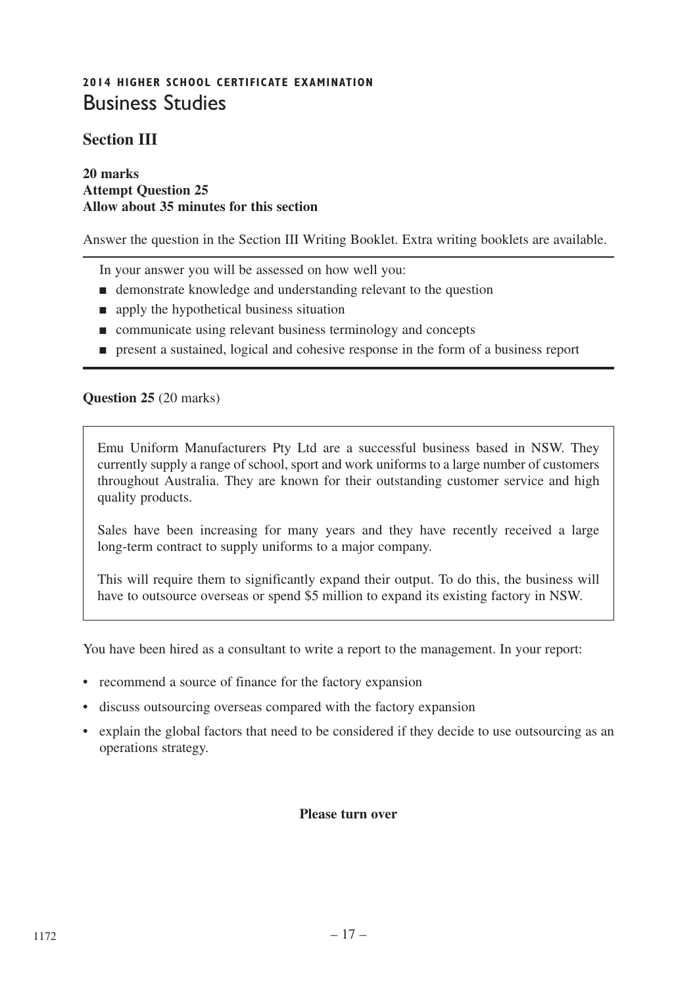# **2014 HIGHER SCHOOL CERTIFICATE EXAMINATION**  Business Studies

# **Section III**

#### **20 marks Attempt Question 25 Allow about 35 minutes for this section**

Answer the question in the Section III Writing Booklet. Extra writing booklets are available.

In your answer you will be assessed on how well you:

- demonstrate knowledge and understanding relevant to the question
- apply the hypothetical business situation
- communicate using relevant business terminology and concepts
- present a sustained, logical and cohesive response in the form of a business report

#### **Question 25** (20 marks)

Emu Uniform Manufacturers Pty Ltd are a successful business based in NSW. They currently supply a range of school, sport and work uniforms to a large number of customers throughout Australia. They are known for their outstanding customer service and high quality products.

Sales have been increasing for many years and they have recently received a large long-term contract to supply uniforms to a major company.

This will require them to significantly expand their output. To do this, the business will have to outsource overseas or spend \$5 million to expand its existing factory in NSW.

You have been hired as a consultant to write a report to the management. In your report:

- recommend a source of finance for the factory expansion
- discuss outsourcing overseas compared with the factory expansion
- explain the global factors that need to be considered if they decide to use outsourcing as an operations strategy.

#### **Please turn over**